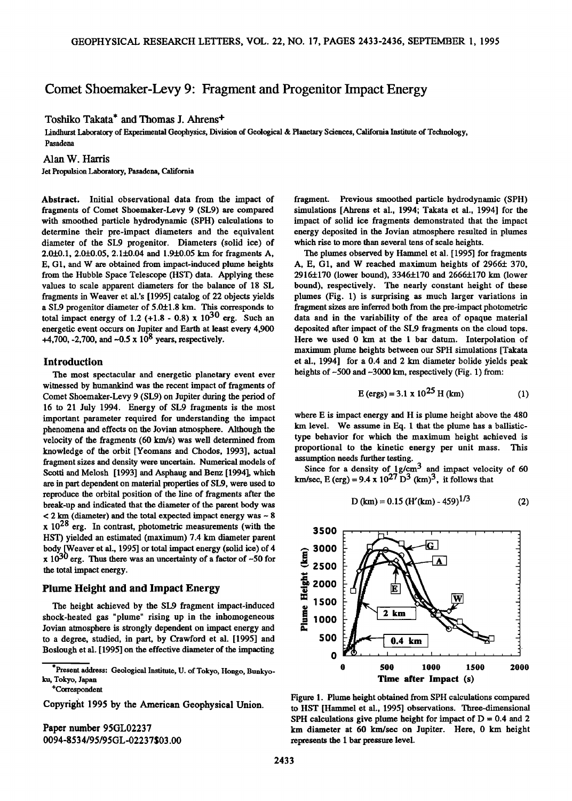# **Comet Shoemaker-Levy 9' Fragment and Progenitor Impact Energy**

**Toshiko Takata\* and Thomas J. Ahrens +** 

**Lindhurst Laboratory of Experimental Geophysics, Division of Geological & Planetary Sciences, California Institute of Technology, Pasadena** 

**Alan W. Harris** 

**Jet Propulsion Laboratory, Pasadena, California** 

**Abstract. Initial observational data from the impact of fragments of Comet Shoemaker-Levy 9 (SL9) are compared with smoothed particle hydrodynamic (SPH) calculations to determine their pre-impact diameters and the equivalent diameter of the SL9 progenitor. Diameters (solid ice) of 2.0-1-0.1, 2.0-20.05, 2.1+0.04 and 1.9+0.05 km for fragments A, E, G1, and W are obtained from impact-induced plume heights from the Hubble Space Telescope (HST) data. Applying these values to scale apparent diameters for the balance of 18 SL fragments in Weaver et al.'s [1995] catalog of 22 objects yields**  a SL9 progenitor diameter of 5.0±1.8 km. This corresponds to **total impact energy of 1.2 (+1.8 - 0.8) x**  $10^{30}$  **erg.** Such an **energetic event occurs on Jupiter and Earth at least every 4,900 +4,700, -2,700, and -0.5 x 108 years, respectively.** 

#### **Introduction**

**The most spectacular and energetic planetary event ever witnessed by humankind was the recent impact of fragments of Comet Shoemaker-Levy 9 (SL9) on Jupiter during the period of 16 to 21 July 1994. Energy of SL9 fragments is the most important parameter required for understanding the impact phenomena and effects on the Jovian atmosphere. Although the**  velocity of the fragments (60 km/s) was well determined from **knowledge of the orbit [Yeomans and Chodos, 1993], actual fragment sizes and density were uncertain. Numerical models of Scotti and Melosh [1993] and Asphaug and Benz [1994], which are in part dependent on material properties of SL9, were used to reproduce the orbital position of the line of fragments after the break-up and indicated that the diameter of the parent body was < 2 km (diameter) and the total expected impact energy was - 8 x 1028 erg. In contrast, photometric measurements (with the HST) yielded an estimated (maximum) 7.4 km diameter parent body [Weaver et al., 1995] or total impact energy (solid ice) of 4**   $\bf{x}$  10<sup>30</sup> erg. Thus there was an uncertainty of a factor of  $-50$  for **the total impact energy.** 

### **Plume Height and and Impact Energy**

**The height achieved by the SL9 fragment impact-induced shock-heated gas "plume" rising up in the inhomogeneous Jovian atmosphere is strongly dependent on impact energy and to a degree, studied, in part, by Crawford et al. [1995] and Boslough et al. [1995] on the effective diameter of the impacting** 

**+Correspondent** 

**Copyright 1995 by the American Geophysical Union.** 

**Paper number 95GL02237 0094-8534/95/95GL-02237503.00**  **fragment. Previous smoothed particle hydrodynamic (SPH) simulations [Ahrens et al., 1994; Takata et al., 1994] for the impact of solid ice fragments demonstrated that the impact energy deposited in the Jovian atmosphere resulted in plumes which rise to more than several tens of scale heights.** 

**The plumes observed by Hammel et al. [ 1995] for fragments**  A, E, G1, and W reached maximum heights of 2966± 370, **2916+170 (lower bound), 3346+170 and 2666+170 km (lower bound), respectively. The nearly constant height of these plumes (Fig. 1) is surprising as much larger variations in fragment sizes are inferred both from the pre-impact photometric data and in the variability of the area of opaque material deposited after impact of the SL9 fragments on the cloud tops. Here we used 0 km at the 1 bar datum. Interpolation of maximum plume heights between our SPH simulations [Takata et al., 1994] for a 0.4 and 2 km diameter bolide yields peak heights of-500 and -3000 km, respectively (Fig. 1) from:** 

$$
E (ergs) = 3.1 \times 10^{25} \text{ H (km)}
$$
 (1)

**where E is impact energy and H is plume height above the 480 km level. We assume in Eq. I that the plume has a ballistictype behavior for which the maximum height achieved is proportional to the kinetic energy per unit mass. This**  assumption needs further testing.

Since for a density of 1g/cm<sup>3</sup> and impact velocity of 60 **km/sec, E (erg) = 9.4 x 10<sup>27</sup> D<sup>3</sup> (km)<sup>3</sup>, it follows that** 

**D (kin) = 0.15 (H'(km) - 459) 1/3 (2)** 

لمداد



**Figure 1. Plume height obtained from SPH calculations compared**  to HST [Hammel et al., 1995] observations. Three-dimensional **SPH calculations give plume height for impact of**  $D = 0.4$  **and 2 km diameter at 60 km/sec on Jupiter. Here, 0 km height represents the 1 bar pressure level.** 

**<sup>\*</sup>Present address: Geological Institute, U. of Tokyo, Hongo, Bunkyoku, Tokyo, Japan**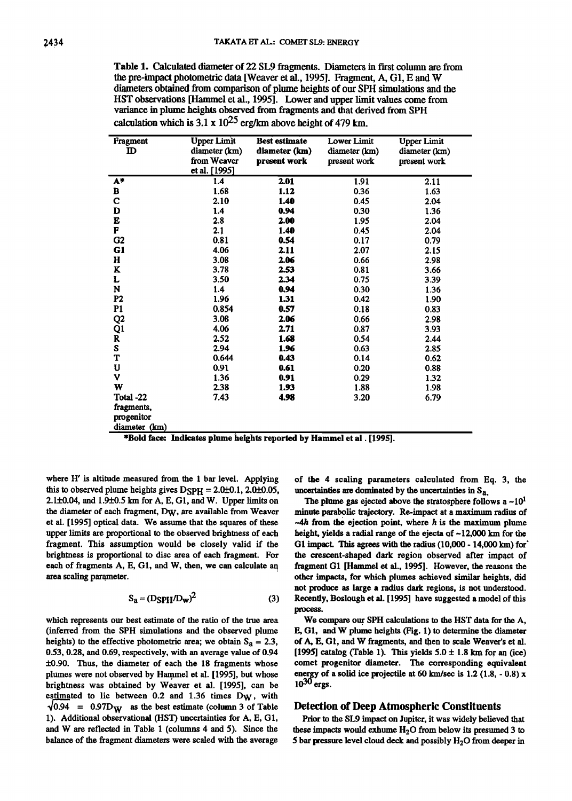**Table 1. Calculated diameter of 22 SL9 fragments. Diameters in first column are from the pre-impact photometric data [Weaver et al., 1995]. Fragment, A, G1, E and W d'mmeters obtained from comparison of plume heights of our SPH simulations and the HST observations [Hammel et al., 1995]. Lower and upper limit values come from variance in plume heights observed from fragments and that derived from SPH calculation which is 3.1 x 1025 erg/km above height of 479 km.** 

| Fragment       | <b>Upper Limit</b> | <b>Best estimate</b> | <b>Lower Limit</b> | Upper Limit   |
|----------------|--------------------|----------------------|--------------------|---------------|
| ID             | diameter (km)      | diameter (km)        | diameter (km)      | diameter (km) |
|                | from Weaver        | present work         | present work       | present work  |
|                | et al. [1995]      |                      |                    |               |
| A*             | 1.4                | 2.01                 | 1.91               | 2.11          |
| в              | 1.68               | 1.12                 | 0.36               | 1.63          |
| C              | 2.10               | 1.40                 | 0.45               | 2.04          |
| D              | 1.4                | 0.94                 | 0.30               | 1.36          |
| E              | 2.8                | 2.00                 | 1.95               | 2.04          |
| F              | 2.1                | 1.40                 | 0.45               | 2.04          |
| G <sub>2</sub> | 0.81               | 0.54                 | 0.17               | 0.79          |
| G1             | 4.06               | 2.11                 | 2.07               | 2.15          |
| н              | 3.08               | 2.06                 | 0.66               | 2.98          |
| K              | 3.78               | 2.53                 | 0.81               | 3.66          |
| L              | 3.50               | 2.34                 | 0.75               | 3.39          |
| N              | 1.4                | 0.94                 | 0.30               | 1.36          |
| P <sub>2</sub> | 1.96               | 1.31                 | 0.42               | 1.90          |
| P1             | 0.854              | 0.57                 | 0.18               | 0.83          |
| Q <sub>2</sub> | 3.08               | 2.06                 | 0.66               | 2.98          |
| Q1             | 4.06               | 2.71                 | 0.87               | 3.93          |
| R              | 2.52               | 1.68                 | 0.54               | 2.44          |
| S              | 2.94               | 1.96                 | 0.63               | 2.85          |
| T              | 0.644              | 0.43                 | 0.14               | 0.62          |
| U              | 0.91               | 0.61                 | 0.20               | 0.88          |
| v              | 1.36               | 0.91                 | 0.29               | 1.32          |
| W              | 2.38               | 1.93                 | 1.88               | 1.98          |
| Total -22      | 7.43               | 4.98                 | 3.20               | 6.79          |
| fragments,     |                    |                      |                    |               |
| progenitor     |                    |                      |                    |               |
| diameter (km)  |                    |                      |                    |               |

|  |  |  | *Bold face: Indicates plume heights reported by Hammel et al . [1995]. |
|--|--|--|------------------------------------------------------------------------|
|--|--|--|------------------------------------------------------------------------|

**where H' is altitude measured from the 1 bar level. Applying**  this to observed plume heights gives  $D$ SPH = 2.0 $\pm$ 0.1, 2.0 $\pm$ 0.05, **2.1+0.04, and 1.9\_+0.5 km for A, E, G1, and W. Upper limits on the diameter of each fragment, DW, are available from Weaver et al. [1995] optical data. We assume that the squares of these upper limits are proportional to the observed brightness of each fragment. This assumption would be closely valid if the brightness is proportional to disc area of each fragment. For each of fragments A, E, G1, and W, then, we can calculate an**  area scaling parameter.

$$
S_a = (DSPH/D_w)^2 \tag{3}
$$

**which represents our best estimate of the ratio of the true area (inferred from the SPH simulations and the observed plume**  heights) to the effective photometric area; we obtain  $S_a = 2.3$ , **0.53, 0.28, and 0.69, respectively, with an average value of 0.94 4-0.90. Thus, the diameter of each the 18 fragments whose**  plumes were not observed by Hammel et al. [1995], but whose **brightness was obtained by Weaver et al. [1995], can be**  estimated to lie between 0.2 and 1.36 times D<sub>W</sub>, with  $\sqrt{0.94}$  = 0.97D<sub>W</sub> as the best estimate (column 3 of Table 1). Additional observational (HST) uncertainties for A, E, G1, **and W are reflected in Table 1 (columns 4 and 5). Since the balance of the fragment diameters were scaled with the average** 

**of the 4 scaling parameters calculated from Eq. 3, the uncertainties are dominated by the uncertainties in Sa.** 

**The plume gas ejected above the stratosphere follows a ~101 minute parabolic trajectory. Re-impact at a maximum radius of ~4h from the ejection point, where h is the maximum plume height, yields a radial range of the ejecta of ~12,000 km for the**  G1 impact. This agrees with the radius (10,000 - 14,000 km) for **the crescent-shaped dark region observed after impact of**  fragment G1 [Hammel et al., 1995]. However, the reasons the **other impacts, for which plumes achieved similar heights, did not produce as large a radius dark regions, is not understood. Recently, Boslough et al. [1995] have suggested amodel of this process.** 

**We compare our SPH calculations to the HST data for the A, E, G1, and W plume heights (Fig. 1) to determine the diameter of A, E, G1, and W fragments, and then to scale Weaver's et al.**   $[1995]$  catalog (Table 1). This yields  $5.0 \pm 1.8$  km for an (ice) **comet progenitor diameter. The corresponding equivalent**  energy of a solid ice projectile at 60 km/sec is 1.2 (1.8, - 0.8) x  $10^{30}$  ergs.

## **Detection of Deep Atmospheric Constituents**

**Prior to the SL9 impact on Jupiter, it was widely believed that**  these impacts would exhume  $H<sub>2</sub>O$  from below its presumed 3 to **5 bar pressure level cloud deck and possibly H20 from deeper 'm**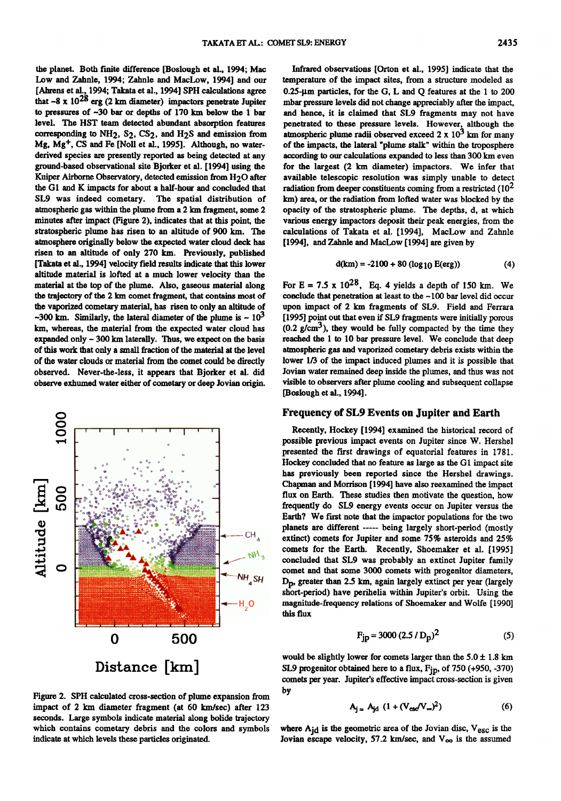**the planet. Both finite difference [Boslough et al., 1994; Mac Low and Zahnle, 1994; Zahnle and MacLow, 1994] and our [Ahrens et al., 1994; Takata et al., 1994] SPH calculations agree**  that  $-8 \times 10^{28}$  erg (2 km diameter) impactors penetrate Jupiter to pressures of  $-30$  bar or depths of  $170$  km below the 1 bar **level. The HST team detected abundant absorption features**  corresponding to NH<sub>2</sub>, S<sub>2</sub>, CS<sub>2</sub>, and H<sub>2</sub>S and emission from **Mg, Mg +, CS and Fe [Noll et al., 1995]. Although, no waterderived species are presently reported as being detected at any ground-based observational site Bjorker et al. [ 1994] using the Kuiper Airborne Observatory, detected emission from H20 after the G1 and K impacts for about a haft-hour and concluded that SL9 was indeed cometary. The spatial distribution of atmospheric gas within the plume from a 2 km fragment, some 2 minutes after impact (Figure 2), indicates that at this point, the**  stratospheric plume has risen to an altitude of 900 km. The **atmosphere originally below the expected water cloud deck has risen to an altitude of only 270 km. Previously, published [Takata et al., 1994] velocity field results indicate that this lower altitude material is lofted at a much lower velocity than the material at the top of the plume. Also, gaseous material along the trajectory of the 2 km comet fragment, that contains most of the vaporized cometary material, has risen to only an altitude of**   $-300$  km. Similarly, the lateral diameter of the plume is  $\sim 10^3$ **kin, whereas, the material from the expected water cloud has**  expanded only  $\sim$  300 km laterally. Thus, we expect on the basis **of this work that only a small fraction of the material at the level of the water clouds or material from the comet could be directly observed. Never-the-less, it appears that Bjorker et al. did observe exhumed water either of cometary or deep Jovian origin.** 



**Figure 2. SPH calculated cross-section of plume expansion from**  impact of 2 km diameter fragment (at 60 km/sec) after 123 **seconds. Large symbols indicate material along bolide trajectory which contains cometary debris and the colors and symbols indicate at which levels these particles originated.** 

Infrared observations [Orton et al., 1995] indicate that the **temperature of the impact sites, from a structure modeled as 0.25-gin particles, for the G, L and Q features at the 1 to 200 mbar pressure levels did not change appreciably after the impact, and hence, it is claimed that SL9 fragments may not have penetrated to these pressure levels. However, although the atmospheric plume radii observed exceed 2 x 103 km for many of the impacts, the lateral "plume stalk" within the troposphere**  according to our calculations expanded to less than 300 km even **for the largest (2 km diameter) impactors. We infer that available telescopic resolution was simply unable to detect**  radiation from deeper constituents coming from a restricted (10<sup>2</sup> **km) area, or the radiation from lofted water was blocked by the opacity of the stratospheric plume. The depths, d, at which various energy impactors deposit their peak energies, from the calculations of Takata et al. [1994], MacLow and Zahnle [1994], and Zahnle and MacLow [1994] are given by** 

$$
d(km) = -2100 + 80 (log_{10} E(erg))
$$
 (4)

For  $E = 7.5 \times 10^{28}$ , Eq. 4 yields a depth of 150 km. We **conclude that penetration at least to the -100 bar level did occur upon impact of 2 km fragments of SL9. Field and Ferrara [1995] point out that even if SL9 fragments were initially porous (0.2 g/cm3), they would be fully compacted by the time they reached the 1 to 10 bar pressure level. We conclude that deep atmospheric gas and vaporized cometary debris exists within the lower 1/3 of the impact induced plumes and it is possible that Jovian water remained deep inside the plumes, and thus was not visible to observers after plume cooling and subsequent collapse [Boslough et al., 1994].** 

### **Frequency of SL9 Events on Jupiter and Earth**

**Recently, Hockey [1994] examined the historical record of possible previous impact events on Jupiter since W. Hershel presented the first drawings of equatorial features in 1781.**  Hockey concluded that no feature as large as the G1 impact site **has previously been reported since the Hershel drawings. Chapman and Morrison [ 1994] have also reexamined the impact flux on Earth. These studies then motivate the question, how frequently do SL9 energy events occur on Jupiter versus the Earth? We first note that the impactor populations for the two planets are different ..... being largely short-period (mostly extinct) comets for Jupiter and some 75% asteroids and 25% comets for the Earth. Recently, Shoemaker et al. [1995] concluded that SL9 was probably an extinct Jupiter family comet and that some 3000 comets with progenitor diameters, Dp, greater than 2.5 km, again largely extinct per year (largely short-period) have perihelia within Jupiter's orbit. Using the magnitude-frequency relations of Shoemaker and Wolfe [1990] this flux** 

$$
F_{jp} = 3000 (2.5 / D_p)^2
$$
 (5)

would be slightly lower for comets larger than the  $5.0 \pm 1.8$  km **SL9 progenitor obtained here to a flux, Fjp, of 750 (+950, -370) comets per year. Jupiter's effective impact cross-section isgiven by** 

$$
A_{j} = A_{jd} \left( 1 + (V_{esc}/V_{\infty})^2 \right) \tag{6}
$$

where A<sub>id</sub> is the geometric area of the Jovian disc, V<sub>esc</sub> is the **Jovian escape velocity, 57.2 km/sec, and**  $V_{\infty}$  **is the assumed**